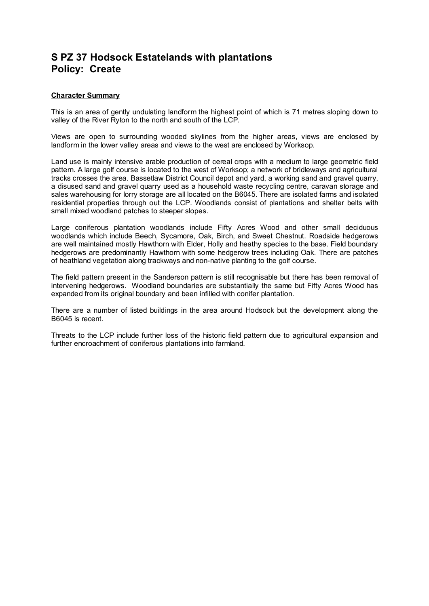## **S PZ 37 Hodsock Estatelands with plantations Policy: Create**

## **Character Summary**

This is an area of gently undulating landform the highest point of which is 71 metres sloping down to valley of the River Ryton to the north and south of the LCP.

Views are open to surrounding wooded skylines from the higher areas, views are enclosed by landform in the lower valley areas and views to the west are enclosed by Worksop.

Land use is mainly intensive arable production of cereal crops with a medium to large geometric field pattern. A large golf course is located to the west of Worksop; a network of bridleways and agricultural tracks crosses the area. Bassetlaw District Council depot and yard, a working sand and gravel quarry, a disused sand and gravel quarry used as a household waste recycling centre, caravan storage and sales warehousing for lorry storage are all located on the B6045. There are isolated farms and isolated residential properties through out the LCP. Woodlands consist of plantations and shelter belts with small mixed woodland patches to steeper slopes.

Large coniferous plantation woodlands include Fifty Acres Wood and other small deciduous woodlands which include Beech, Sycamore, Oak, Birch, and Sweet Chestnut. Roadside hedgerows are well maintained mostly Hawthorn with Elder, Holly and heathy species to the base. Field boundary hedgerows are predominantly Hawthorn with some hedgerow trees including Oak. There are patches of heathland vegetation along trackways and non-native planting to the golf course.

The field pattern present in the Sanderson pattern is still recognisable but there has been removal of intervening hedgerows. Woodland boundaries are substantially the same but Fifty Acres Wood has expanded from its original boundary and been infilled with conifer plantation.

There are a number of listed buildings in the area around Hodsock but the development along the B6045 is recent.

Threats to the LCP include further loss of the historic field pattern due to agricultural expansion and further encroachment of coniferous plantations into farmland.